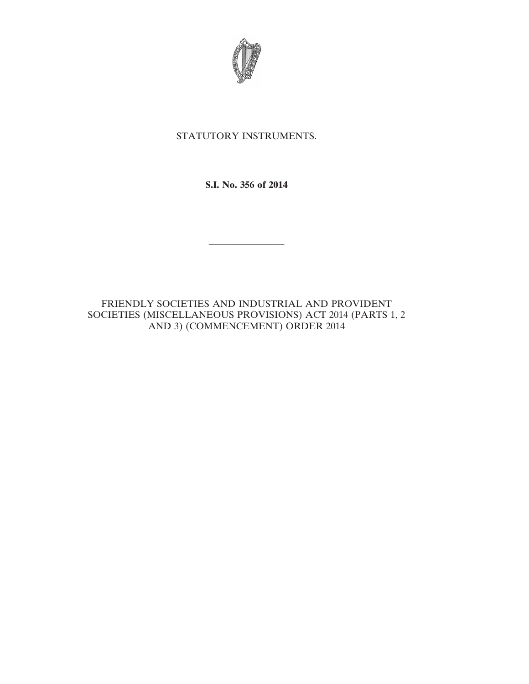

## STATUTORY INSTRUMENTS.

**S.I. No. 356 of 2014**

————————

FRIENDLY SOCIETIES AND INDUSTRIAL AND PROVIDENT SOCIETIES (MISCELLANEOUS PROVISIONS) ACT 2014 (PARTS 1, 2 AND 3) (COMMENCEMENT) ORDER 2014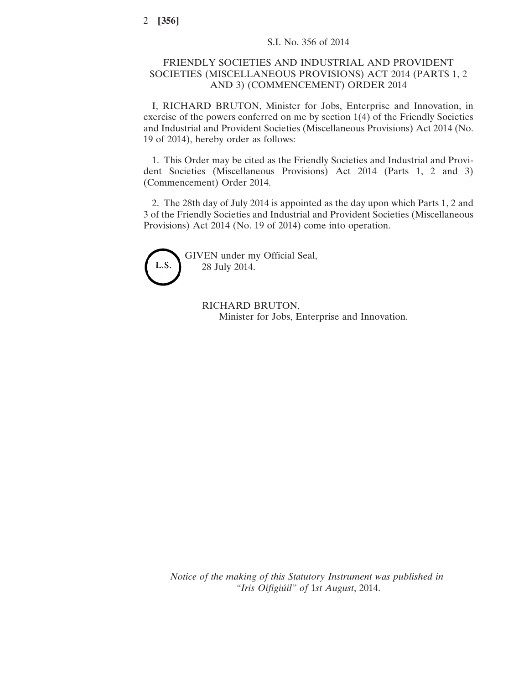## FRIENDLY SOCIETIES AND INDUSTRIAL AND PROVIDENT SOCIETIES (MISCELLANEOUS PROVISIONS) ACT 2014 (PARTS 1, 2 AND 3) (COMMENCEMENT) ORDER 2014

I, RICHARD BRUTON, Minister for Jobs, Enterprise and Innovation, in exercise of the powers conferred on me by section 1(4) of the Friendly Societies and Industrial and Provident Societies (Miscellaneous Provisions) Act 2014 (No. 19 of 2014), hereby order as follows:

1. This Order may be cited as the Friendly Societies and Industrial and Provident Societies (Miscellaneous Provisions) Act 2014 (Parts 1, 2 and 3) (Commencement) Order 2014.

2. The 28th day of July 2014 is appointed as the day upon which Parts 1, 2 and 3 of the Friendly Societies and Industrial and Provident Societies (Miscellaneous Provisions) Act 2014 (No. 19 of 2014) come into operation.



GIVEN under my Official Seal, 28 July 2014.

> RICHARD BRUTON, Minister for Jobs, Enterprise and Innovation.

*Notice of the making of this Statutory Instrument was published in "Iris Oifigiúil" of* 1*st August*, 2014.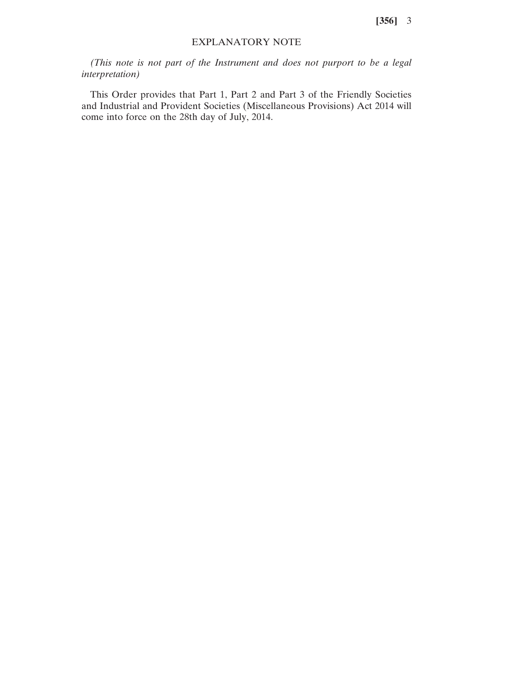**[356]** 3

## EXPLANATORY NOTE

*(This note is not part of the Instrument and does not purport to be a legal interpretation)*

This Order provides that Part 1, Part 2 and Part 3 of the Friendly Societies and Industrial and Provident Societies (Miscellaneous Provisions) Act 2014 will come into force on the 28th day of July, 2014.